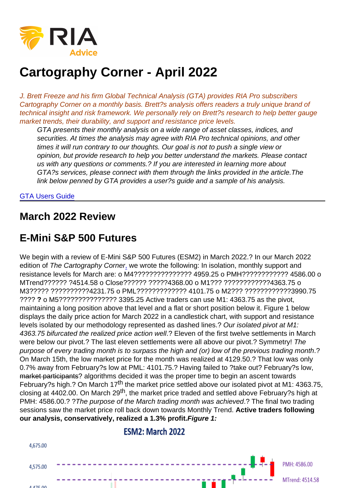# Cartography Corner - April 2022

J. Brett Freeze and his firm Global Technical Analysis (GTA) provides RIA Pro subscribers Cartography Corner on a monthly basis. Brett?s analysis offers readers a truly unique brand of technical insight and risk framework. We personally rely on Brett?s research to help better gauge market trends, their durability, and support and resistance price levels.

GTA presents their monthly analysis on a wide range of asset classes, indices, and securities. At times the analysis may agree with RIA Pro technical opinions, and other times it will run contrary to our thoughts. Our goal is not to push a single view or opinion, but provide research to help you better understand the markets. Please contact us with any questions or comments.? If you are interested in learning more about GTA?s services, please connect with them through the links provided in the article.The link below penned by GTA provides a user?s guide and a sample of his analysis.

#### [GTA Users Guide](https://www.scribd.com/document/385310848/GTA-Introduction-RIA-Pro-docx)

#### March 2022 Review

### E-Mini S&P 500 Futures

We begin with a review of E-Mini S&P 500 Futures (ESM2) in March 2022.? In our March 2022 edition of The Cartography Corne[r,](https://www.720global.com/article/cartography-corner-july-2017-595e6d2d87eac) we wrote the following: In isolation, monthly support and resistance levels for March are: o M4??????????????? 4959.25 o PMH???????????? 4586.00 o MTrend?????? ?4514.58 o Close?????? ?????4368.00 o M1??? ????????????4363.75 o M3????? ??????????4231.75 o PML????????????? 4101.75 o M2??? ????????????3990.75 ???? ? o M5??????????????? 3395.25 Active traders can use M1: 4363.75 as the pivot, maintaining a long position above that level and a flat or short position below it. Figure 1 below displays the daily price action for March 2022 in a candlestick chart, with support and resistance levels isolated by our methodology represented as dashed lines.? Our isolated pivot at M1: 4363.75 bifurcated the realized price action well.? Eleven of the first twelve settlements in March were below our pivot.? The last eleven settlements were all above our pivot.? Symmetry! The purpose of every trading month is to surpass the high and (or) low of the previous trading month.? On March 15th, the low market price for the month was realized at 4129.50.? That low was only 0.7% away from February?s low at PML: 4101.75.? Having failed to ?take out? February?s low, market participants? algorithms decided it was the proper time to begin an ascent towards February?s high.? On March 17<sup>th</sup> the market price settled above our isolated pivot at M1: 4363.75, closing at 4402.00. On March 29<sup>th</sup>, the market price traded and settled above February?s high at PMH: 4586.00.? ?The purpose of the March trading month was achieved.? The final two trading sessions saw the market price roll back down towards Monthly Trend. Active traders following our analysis, conservatively, realized a 1.3% profit. Figure 1: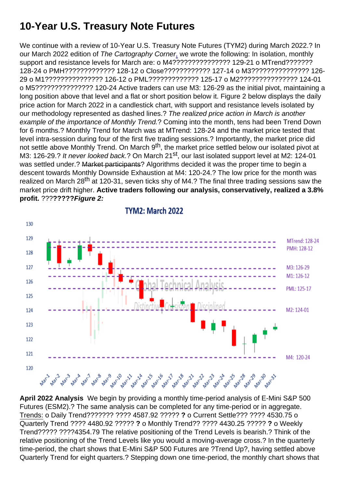# 10-Year U.S. Treasury Note Futures

We continue with a review of 10-Year U.S. Treasury Note Futures (TYM2) during March 2022.? In our March 2022 edition of The Cartography Corne[r,](https://www.720global.com/article/cartography-corner-july-2017-595e6d2d87eac) we wrote the following: In isolation, monthly support and resistance levels for March are: o M4??????????????? 129-21 o MTrend??????? 128-24 o PMH????????????? 128-12 o Close???????????? 127-14 o M3??????????????? 126- 29 o M1??????????????? 126-12 o PML????????????? 125-17 o M2??????????????? 124-01 o M5??????????????? 120-24 Active traders can use M3: 126-29 as the initial pivot, maintaining a long position above that level and a flat or short position below it. Figure 2 below displays the daily price action for March 2022 in a candlestick chart, with support and resistance levels isolated by our methodology represented as dashed lines.? The realized price action in March is another example of the importance of Monthly Trend.? Coming into the month, tens had been Trend Down for 6 months.? Monthly Trend for March was at MTrend: 128-24 and the market price tested that level intra-session during four of the first five trading sessions.? Importantly, the market price did not settle above Monthly Trend. On March 9<sup>th</sup>, the market price settled below our isolated pivot at M3: 126-29.? It never looked back.? On March 21<sup>st</sup>, our last isolated support level at M2: 124-01 was settled under.? Market participants? Algorithms decided it was the proper time to begin a descent towards Monthly Downside Exhaustion at M4: 120-24.? The low price for the month was realized on March 28<sup>th</sup> at 120-31, seven ticks shy of M4.? The final three trading sessions saw the market price drift higher. Active traders following our analysis, conservatively, realized a 3.8% profit. ???????? Figure 2:

April 2022 Analysis We begin by providing a monthly time-period analysis of E-Mini S&P 500 Futures (ESM2).? The same analysis can be completed for any time-period or in aggregate. Trends: o Daily Trend??????? ???? 4587.92 ????? ? o Current Settle??? ???? 4530.75 o Quarterly Trend ???? 4480.92 ????? ? o Monthly Trend?? ???? 4430.25 ????? ? o Weekly Trend????? ????4354.79 The relative positioning of the Trend Levels is bearish.? Think of the relative positioning of the Trend Levels like you would a moving-average cross.? In the quarterly time-period, the chart shows that E-Mini S&P 500 Futures are ?Trend Up?, having settled above Quarterly Trend for eight quarters.? Stepping down one time-period, the monthly chart shows that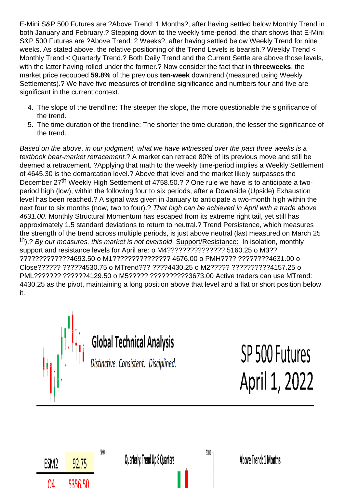E-Mini S&P 500 Futures are ?Above Trend: 1 Months?, after having settled below Monthly Trend in both January and February.? Stepping down to the weekly time-period, the chart shows that E-Mini S&P 500 Futures are ?Above Trend: 2 Weeks?, after having settled below Weekly Trend for nine weeks. As stated above, the relative positioning of the Trend Levels is bearish.? Weekly Trend < Monthly Trend < Quarterly Trend.? Both Daily Trend and the Current Settle are above those levels, with the latter having rolled under the former.? Now consider the fact that in three weeks , the market price recouped 59.8% of the previous ten-week downtrend (measured using Weekly Settlements).? We have five measures of trendline significance and numbers four and five are significant in the current context.

- 4. The slope of the trendline: The steeper the slope, the more questionable the significance of the trend.
- 5. The time duration of the trendline: The shorter the time duration, the lesser the significance of the trend.

Based on the above, in our judgment, what we have witnessed over the past three weeks is a textbook bear-market retracement.? A market can retrace 80% of its previous move and still be deemed a retracement. ?Applying that math to the weekly time-period implies a Weekly Settlement of 4645.30 is the demarcation level.? Above that level and the market likely surpasses the December 27<sup>th</sup> Weekly High Settlement of 4758.50.? ? One rule we have is to anticipate a twoperiod high (low), within the following four to six periods, after a Downside (Upside) Exhaustion level has been reached.? A signal was given in January to anticipate a two-month high within the next four to six months (now, two to four).? That high can be achieved in April with a trade above 4631.00. Monthly Structural Momentum has escaped from its extreme right tail, yet still has approximately 1.5 standard deviations to return to neutral.? Trend Persistence, which measures the strength of the trend across multiple periods, is just above neutral (last measured on March 25 th).? By our measures, this market is not oversold. Support/Resistance: In isolation, monthly support and resistance levels for April are: o M4??????????????? 5160.25 o M3?? ?????????????4693.50 o M1??????????????? 4676.00 o PMH???? ????????4631.00 o Close?????? ?????4530.75 o MTrend??? ????4430.25 o M2????? ??????????4157.25 o PML??????? ??????4129.50 o M5????? ??????????3673.00 Active traders can use MTrend: 4430.25 as the pivot, maintaining a long position above that level and a flat or short position below it.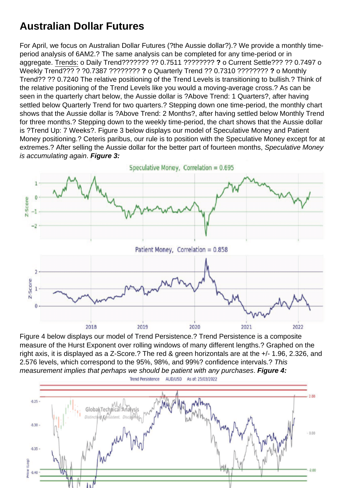## Australian Dollar Futures

For April, we focus on Australian Dollar Futures (?the Aussie dollar?).? We provide a monthly timeperiod analysis of 6AM2.? The same analysis can be completed for any time-period or in aggregate. Trends: o Daily Trend??????? ?? 0.7511 ???????? ? o Current Settle??? ?? 0.7497 o Weekly Trend??? ? ?0.7387 ???????? ? o Quarterly Trend ?? 0.7310 ???????? ? o Monthly Trend?? ?? 0.7240 The relative positioning of the Trend Levels is transitioning to bullish.? Think of the relative positioning of the Trend Levels like you would a moving-average cross.? As can be seen in the quarterly chart below, the Aussie dollar is ?Above Trend: 1 Quarters?, after having settled below Quarterly Trend for two quarters.? Stepping down one time-period, the monthly chart shows that the Aussie dollar is ?Above Trend: 2 Months?, after having settled below Monthly Trend for three months.? Stepping down to the weekly time-period, the chart shows that the Aussie dollar is ?Trend Up: 7 Weeks?. Figure 3 below displays our model of Speculative Money and Patient Money positioning.? Ceteris paribus, our rule is to position with the Speculative Money except for at extremes.? After selling the Aussie dollar for the better part of fourteen months, Speculative Money is accumulating again. Figure 3:

Figure 4 below displays our model of Trend Persistence.? Trend Persistence is a composite measure of the Hurst Exponent over rolling windows of many different lengths.? Graphed on the right axis, it is displayed as a Z-Score.? The red & green horizontals are at the +/- 1.96, 2.326, and 2.576 levels, which correspond to the 95%, 98%, and 99%? confidence intervals.? This measurement implies that perhaps we should be patient with any purchases. Figure 4: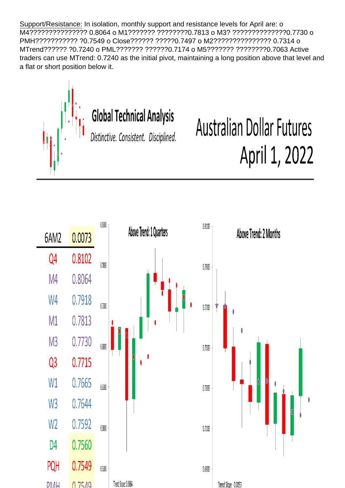Support/Resistance: In isolation, monthly support and resistance levels for April are: o M4??????????????? 0.8064 o M1??????? ????????0.7813 o M3? ??????????????0.7730 o PMH??????????? ?0.7549 o Close?????? ?????0.7497 o M2??????????????? 0.7314 o MTrend?????? ?0.7240 o PML??????? ??????0.7174 o M5??????? ????????0.7063 Active traders can use MTrend: 0.7240 as the initial pivot, maintaining a long position above that level and a flat or short position below it.